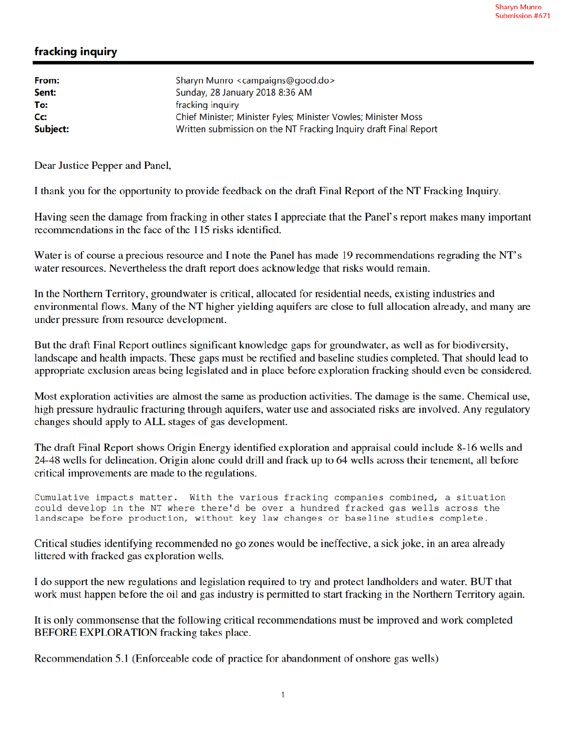## fracking inquiry

| From:    | Sharyn Munro <campaigns@good.do></campaigns@good.do>             |
|----------|------------------------------------------------------------------|
| Sent:    | Sunday, 28 January 2018 8:36 AM                                  |
| To:      | fracking inquiry                                                 |
| Cc:      | Chief Minister; Minister Fyles; Minister Vowles; Minister Moss   |
| Subject: | Written submission on the NT Fracking Inquiry draft Final Report |

Dear Justice Pepper and Panel,

I thank you for the opportunity to provide feedback on the draft Final Report of the NT Fracking Inquiry.

Having seen the damage from fracking in other states I appreciate that the Panel's report makes many important recommendations in the face of the 115 risks identified.

Water is of course a precious resource and I note the Panel has made 19 recommendations regrading the NT's water resources. Nevertheless the draft report does acknowledge that risks would remain.

In the Northern Territory, groundwater is critical, allocated for residential needs, existing industries and environmental flows. Many of the NT higher yielding aquifers are close to full allocation already, and many are under pressure from resource development.

But the draft Final Report outlines significant knowledge gaps for groundwater, as well as for biodiversity, landscape and health impacts. These gaps must be rectified and baseline studies completed. That should lead to appropriate exclusion areas being legislated and in place before exploration fracking should even be considered.

Most exploration activities are almost the same as production activities. The damage is the same. Chemical use, high pressure hydraulic fracturing through aquifers, water use and associated risks are involved. Any regulatory changes should apply to ALL stages of gas development.

The draft Final Report shows Origin Energy identified exploration and appraisal could include 8-16 wells and 24-48 wells for delineation. Origin alone could drill and frack up to 64 wells across their tenement, all before critical improvements are made to the regulations.

Cumulative impacts matter. With the various fracking companies combined, a situation could develop in the NT where there'd be over a hundred fracked gas wells across the landscape before production, without key law changes or baseline studies complete.

Critical studies identifying recommended no go zones would be ineffective, a sick joke, in an area already littered with fracked gas exploration wells.

I do support the new regulations and legislation required to try and protect landholders and water. BUT that work must happen before the oil and gas industry is permitted to start fracking in the Northern Territory again.

It is only commonsense that the following critical recommendations must be improved and work completed BEFORE EXPLORATION fracking takes place.

Recommendation 5.1 (Enforceable code of practice for abandonment of onshore gas wells)